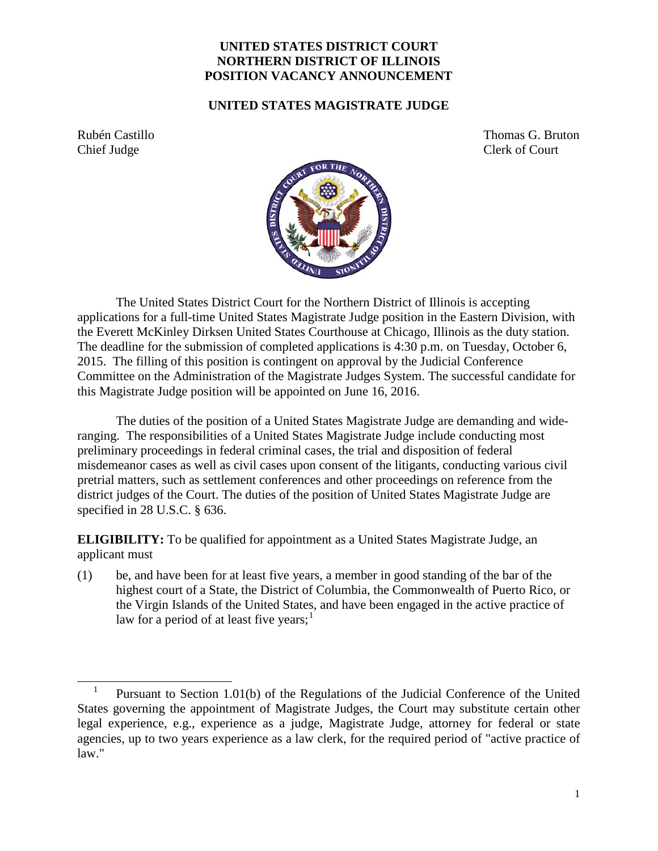## **UNITED STATES DISTRICT COURT NORTHERN DISTRICT OF ILLINOIS POSITION VACANCY ANNOUNCEMENT**

## **UNITED STATES MAGISTRATE JUDGE**

Chief Judge Clerk of Court

Rubén Castillo Thomas G. Bruton



The United States District Court for the Northern District of Illinois is accepting applications for a full-time United States Magistrate Judge position in the Eastern Division, with the Everett McKinley Dirksen United States Courthouse at Chicago, Illinois as the duty station. The deadline for the submission of completed applications is 4:30 p.m. on Tuesday, October 6, 2015. The filling of this position is contingent on approval by the Judicial Conference Committee on the Administration of the Magistrate Judges System. The successful candidate for this Magistrate Judge position will be appointed on June 16, 2016.

The duties of the position of a United States Magistrate Judge are demanding and wideranging. The responsibilities of a United States Magistrate Judge include conducting most preliminary proceedings in federal criminal cases, the trial and disposition of federal misdemeanor cases as well as civil cases upon consent of the litigants, conducting various civil pretrial matters, such as settlement conferences and other proceedings on reference from the district judges of the Court. The duties of the position of United States Magistrate Judge are specified in 28 U.S.C. § 636.

**ELIGIBILITY:** To be qualified for appointment as a United States Magistrate Judge, an applicant must

(1) be, and have been for at least five years, a member in good standing of the bar of the highest court of a State, the District of Columbia, the Commonwealth of Puerto Rico, or the Virgin Islands of the United States, and have been engaged in the active practice of law for a period of at least five years;<sup>[1](#page-0-0)</sup>

<span id="page-0-0"></span> $\frac{1}{2}$  Pursuant to Section 1.01(b) of the Regulations of the Judicial Conference of the United States governing the appointment of Magistrate Judges, the Court may substitute certain other legal experience, e.g., experience as a judge, Magistrate Judge, attorney for federal or state agencies, up to two years experience as a law clerk, for the required period of "active practice of law."  $\overline{a}$